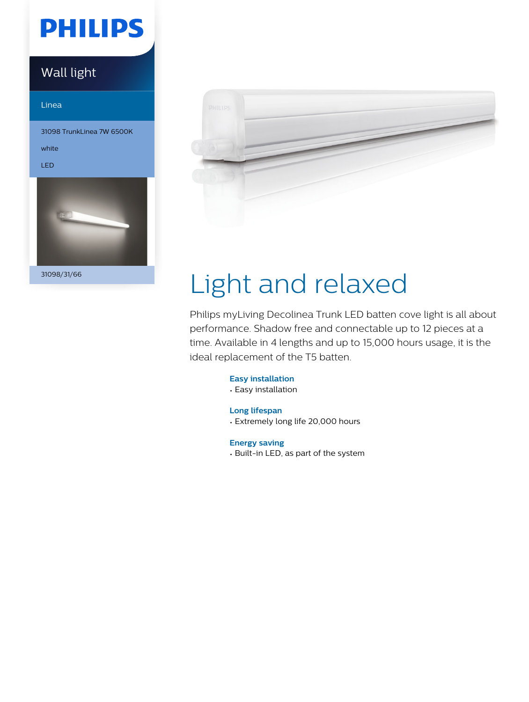# **PHILIPS**

### Wall light

#### Linea

31098 TrunkLinea 7W 6500K

white

LED



31098/31/66



# Light and relaxed

Philips myLiving Decolinea Trunk LED batten cove light is all about performance. Shadow free and connectable up to 12 pieces at a time. Available in 4 lengths and up to 15,000 hours usage, it is the ideal replacement of the T5 batten.

#### **Easy installation**

- Easy installation
- **Long lifespan**
- Extremely long life 20,000 hours

**Energy saving**

• Built-in LED, as part of the system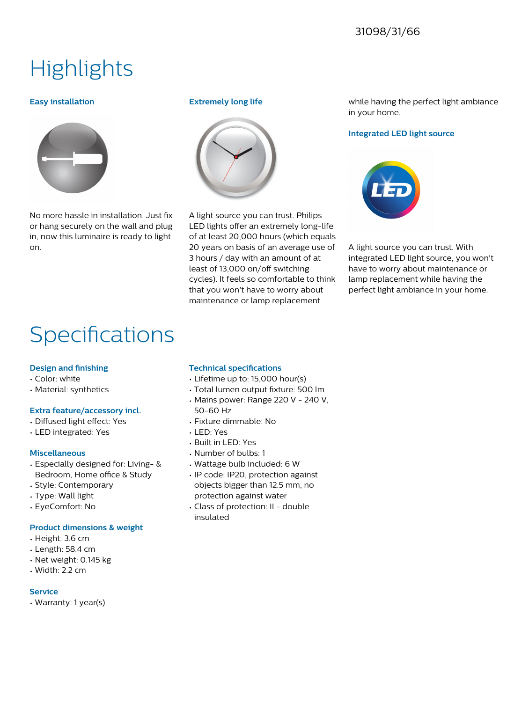#### 31098/31/66

## **Highlights**

#### **Easy installation**



No more hassle in installation. Just fix or hang securely on the wall and plug in, now this luminaire is ready to light on.

#### **Extremely long life**



A light source you can trust. Philips LED lights offer an extremely long-life of at least 20,000 hours (which equals 20 years on basis of an average use of 3 hours / day with an amount of at least of 13,000 on/off switching cycles). It feels so comfortable to think that you won't have to worry about maintenance or lamp replacement

while having the perfect light ambiance in your home.

#### **Integrated LED light source**



A light source you can trust. With integrated LED light source, you won't have to worry about maintenance or lamp replacement while having the perfect light ambiance in your home.

## Specifications

#### **Design and finishing**

- Color: white
- Material: synthetics

#### **Extra feature/accessory incl.**

- Diffused light effect: Yes
- LED integrated: Yes

#### **Miscellaneous**

- Especially designed for: Living- & Bedroom, Home office & Study
- Style: Contemporary
- Type: Wall light
- EyeComfort: No

#### **Product dimensions & weight**

- Height: 3.6 cm
- Length: 58.4 cm
- Net weight: 0.145 kg
- Width: 2.2 cm

#### **Service**

• Warranty: 1 year(s)

#### **Technical specifications**

- Lifetime up to: 15,000 hour(s)
- Total lumen output fixture: 500 lm
- Mains power: Range 220 V 240 V, 50-60 Hz
- Fixture dimmable: No
- LED: Yes
- Built in LED: Yes
- Number of bulbs: 1
- Wattage bulb included: 6 W
- IP code: IP20, protection against objects bigger than 12.5 mm, no protection against water
- Class of protection: II double insulated